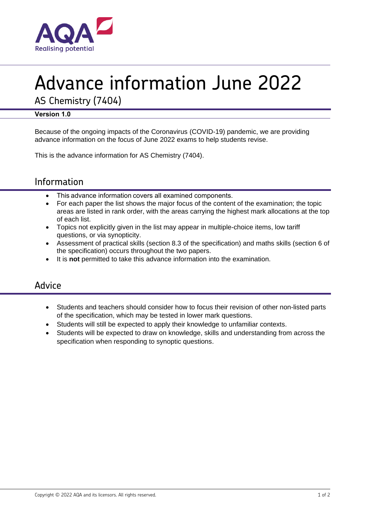

# Advance information June 2022

AS Chemistry (7404)

## **Version 1.0**

Because of the ongoing impacts of the Coronavirus (COVID-19) pandemic, we are providing advance information on the focus of June 2022 exams to help students revise.

This is the advance information for AS Chemistry (7404).

# Information

- This advance information covers all examined components.
- For each paper the list shows the major focus of the content of the examination; the topic areas are listed in rank order, with the areas carrying the highest mark allocations at the top of each list.
- Topics not explicitly given in the list may appear in multiple-choice items, low tariff questions, or via synopticity.
- Assessment of practical skills (section 8.3 of the specification) and maths skills (section 6 of the specification) occurs throughout the two papers.
- It is **not** permitted to take this advance information into the examination.

## Advice

- Students and teachers should consider how to focus their revision of other non-listed parts of the specification, which may be tested in lower mark questions.
- Students will still be expected to apply their knowledge to unfamiliar contexts.
- Students will be expected to draw on knowledge, skills and understanding from across the specification when responding to synoptic questions.